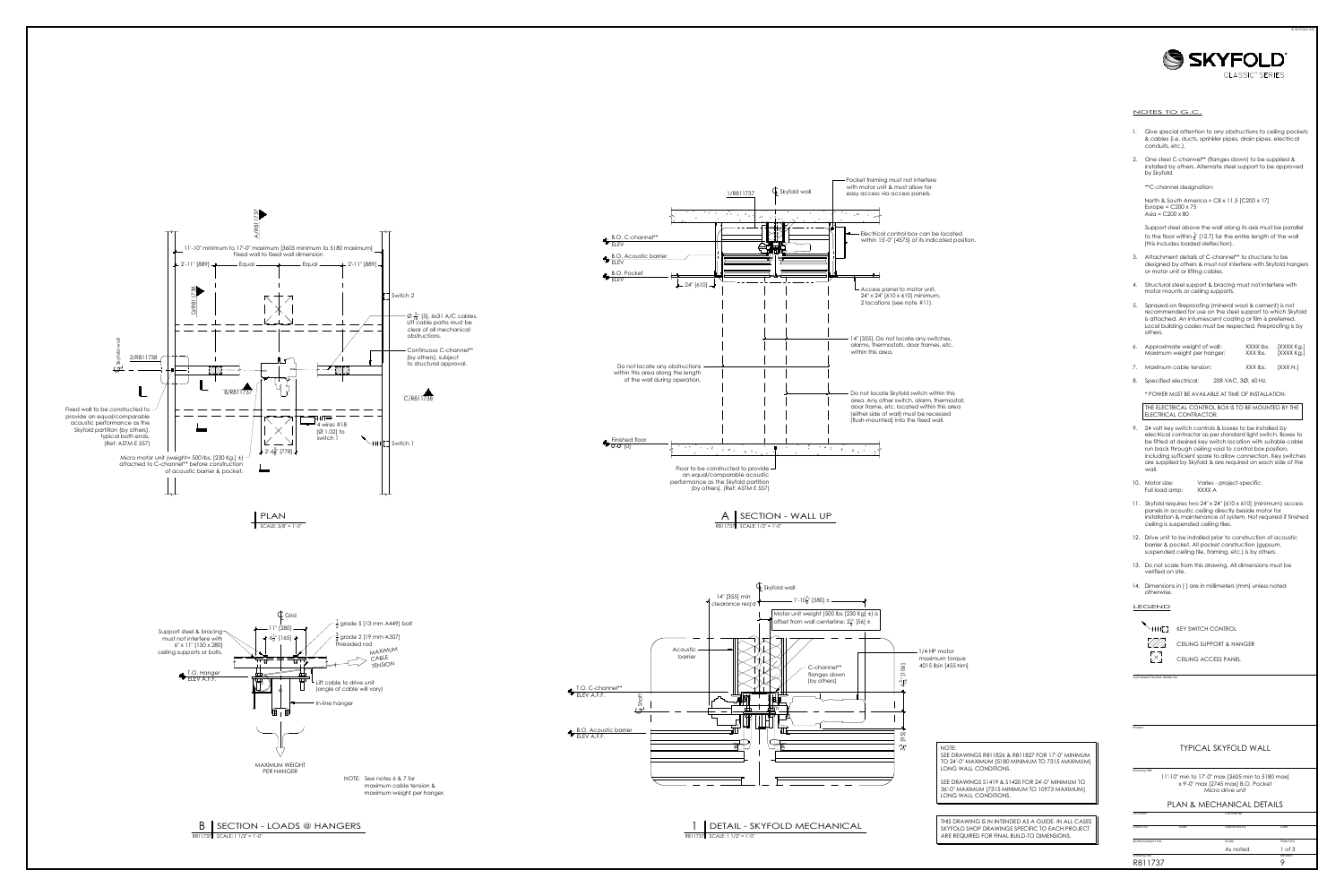



- 
- 

- 
- 
- 

| 6. | Approximate weight of wall: | XXXX lbs. | [XXXX Kg.] |
|----|-----------------------------|-----------|------------|
|    | Maximum weight per hanger:  | XXX lbs.  | [XXXX Kg.] |
|    |                             |           |            |

- 
- 

- 
- 
- 
- 
- 
- 
- 

# Project<br>
Drawing title<br>
11'-10" min to 17'-0" max [3605 min to 5180 max]<br>
x 9'-0" max [2745 max] B.O. Pocket<br>
Micro drive unit<br>
PLAN & MECHANICAL DETAILS<br>
Architect Contractor<br>
Orawing No. Date Approved by Date Sheet No.<br>